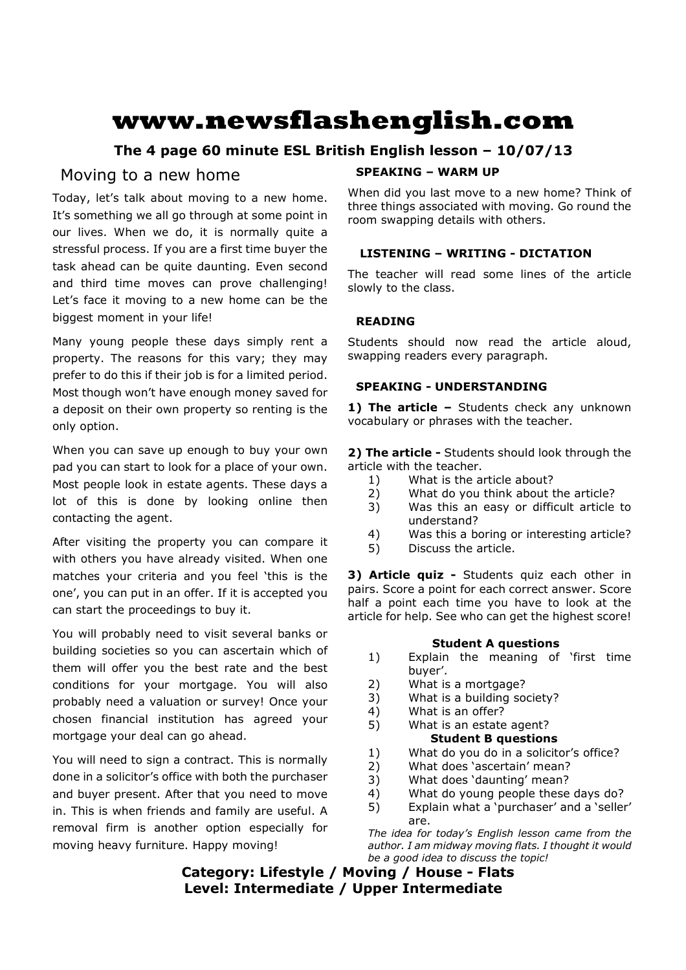# **www.newsflashenglish.com**

## **The 4 page 60 minute ESL British English lesson – 10/07/13**

### Moving to a new home

Today, let's talk about moving to a new home. It's something we all go through at some point in our lives. When we do, it is normally quite a stressful process. If you are a first time buyer the task ahead can be quite daunting. Even second and third time moves can prove challenging! Let's face it moving to a new home can be the biggest moment in your life!

Many young people these days simply rent a property. The reasons for this vary; they may prefer to do this if their job is for a limited period. Most though won't have enough money saved for a deposit on their own property so renting is the only option.

When you can save up enough to buy your own pad you can start to look for a place of your own. Most people look in estate agents. These days a lot of this is done by looking online then contacting the agent.

After visiting the property you can compare it with others you have already visited. When one matches your criteria and you feel 'this is the one', you can put in an offer. If it is accepted you can start the proceedings to buy it.

You will probably need to visit several banks or building societies so you can ascertain which of them will offer you the best rate and the best conditions for your mortgage. You will also probably need a valuation or survey! Once your chosen financial institution has agreed your mortgage your deal can go ahead.

You will need to sign a contract. This is normally done in a solicitor's office with both the purchaser and buyer present. After that you need to move in. This is when friends and family are useful. A removal firm is another option especially for moving heavy furniture. Happy moving!

#### **SPEAKING – WARM UP**

When did you last move to a new home? Think of three things associated with moving. Go round the room swapping details with others.

#### **LISTENING – WRITING - DICTATION**

The teacher will read some lines of the article slowly to the class.

#### **READING**

Students should now read the article aloud, swapping readers every paragraph.

#### **SPEAKING - UNDERSTANDING**

1) The article - Students check any unknown vocabulary or phrases with the teacher.

**2) The article -** Students should look through the article with the teacher.

- 1) What is the article about?
- 2) What do you think about the article?
- 3) Was this an easy or difficult article to understand?
- 4) Was this a boring or interesting article?
- 5) Discuss the article.

**3) Article quiz -** Students quiz each other in pairs. Score a point for each correct answer. Score half a point each time you have to look at the article for help. See who can get the highest score!

#### **Student A questions**

- 1) Explain the meaning of 'first time buyer'.
- 2) What is a mortgage?
- 3) What is a building society?
- 4) What is an offer?

#### 5) What is an estate agent? **Student B questions**

- 1) What do you do in a solicitor's office?
- 2) What does 'ascertain' mean?
- 3) What does 'daunting' mean?
- 4) What do young people these days do?
- 5) Explain what a 'purchaser' and a 'seller' are.

*The idea for today's English lesson came from the author. I am midway moving flats. I thought it would be a good idea to discuss the topic!*

**Category: Lifestyle / Moving / House - Flats Level: Intermediate / Upper Intermediate**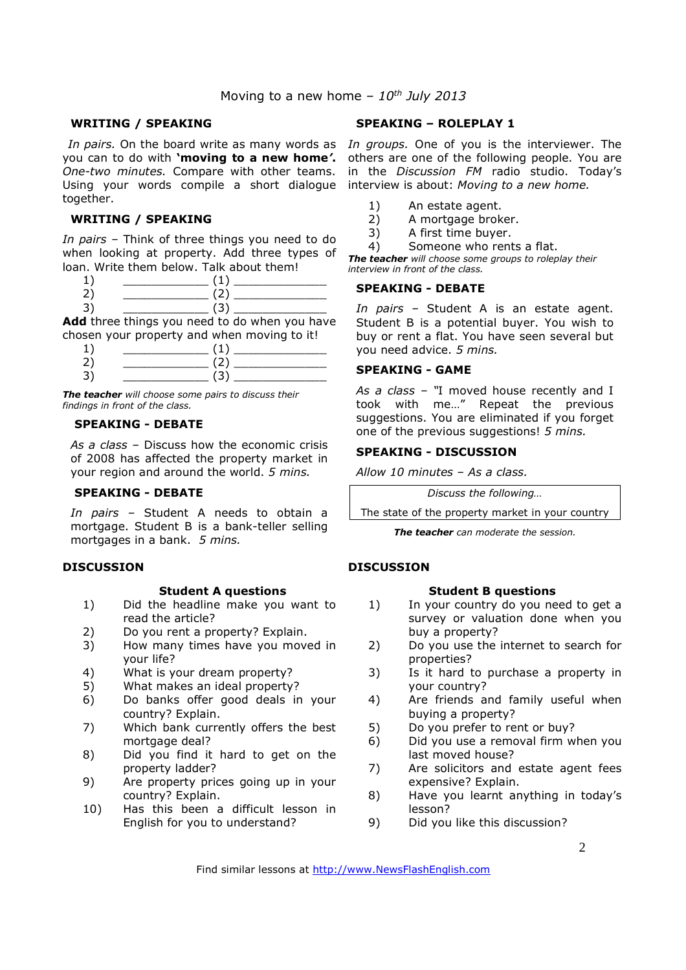#### **WRITING / SPEAKING**

you can to do with **'moving to a new home***'***.** *One-two minutes.* Compare with other teams. Using your words compile a short dialogue interview is about: *Moving to a new home.* together.

#### **WRITING / SPEAKING**

*In pairs* – Think of three things you need to do when looking at property. Add three types of loan. Write them below. Talk about them!

**Add** three things you need to do when you have chosen your property and when moving to it!

*The teacher will choose some pairs to discuss their findings in front of the class.* 

#### **SPEAKING - DEBATE**

*As a class –* Discuss how the economic crisis of 2008 has affected the property market in your region and around the world. *5 mins.*

#### **SPEAKING - DEBATE**

*In pairs –* Student A needs to obtain a mortgage. Student B is a bank-teller selling mortgages in a bank. *5 mins.* 

#### **DISCUSSION**

#### **Student A questions**

- 1) Did the headline make you want to read the article?
- 2) Do you rent a property? Explain.
- 3) How many times have you moved in your life?
- 4) What is your dream property?
- 5) What makes an ideal property?
- 6) Do banks offer good deals in your country? Explain.
- 7) Which bank currently offers the best mortgage deal?
- 8) Did you find it hard to get on the property ladder?
- 9) Are property prices going up in your country? Explain.
- 10) Has this been a difficult lesson in English for you to understand?

#### **SPEAKING – ROLEPLAY 1**

In pairs. On the board write as many words as In groups. One of you is the interviewer. The others are one of the following people. You are in the *Discussion FM* radio studio. Today's

- 1) An estate agent.
- 2) A mortgage broker.
- 3) A first time buyer.
- 4) Someone who rents a flat.

*The teacher will choose some groups to roleplay their interview in front of the class.* 

#### **SPEAKING - DEBATE**

*In pairs –* Student A is an estate agent. Student B is a potential buyer. You wish to buy or rent a flat. You have seen several but you need advice. *5 mins.*

#### **SPEAKING - GAME**

*As a class – "*I moved house recently and I took with me…" Repeat the previous suggestions. You are eliminated if you forget one of the previous suggestions! *5 mins.*

#### **SPEAKING - DISCUSSION**

*Allow 10 minutes* – *As a class.* 

*Discuss the following…* 

The state of the property market in your country

*The teacher can moderate the session.* 

#### **DISCUSSION**

#### **Student B questions**

- 1) In your country do you need to get a survey or valuation done when you buy a property?
- 2) Do you use the internet to search for properties?
- 3) Is it hard to purchase a property in your country?
- 4) Are friends and family useful when buying a property?
- 5) Do you prefer to rent or buy?
- 6) Did you use a removal firm when you last moved house?
- 7) Are solicitors and estate agent fees expensive? Explain.
- 8) Have you learnt anything in today's lesson?
- 9) Did you like this discussion?

Find similar lessons at http://www.NewsFlashEnglish.com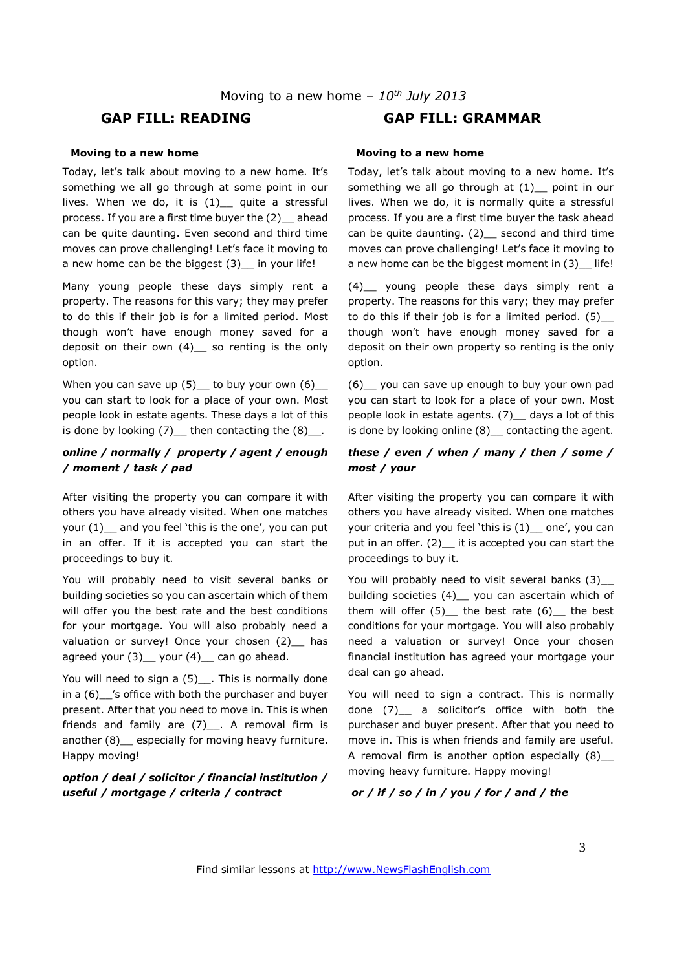#### **GAP FILL: READING GAP FILL: GRAMMAR**

#### **Moving to a new home**

Today, let's talk about moving to a new home. It's something we all go through at some point in our lives. When we do, it is  $(1)$  quite a stressful process. If you are a first time buyer the (2)\_\_ ahead can be quite daunting. Even second and third time moves can prove challenging! Let's face it moving to a new home can be the biggest (3) in your life!

Many young people these days simply rent a property. The reasons for this vary; they may prefer to do this if their job is for a limited period. Most though won't have enough money saved for a deposit on their own (4) so renting is the only option.

When you can save up  $(5)$  to buy your own  $(6)$ you can start to look for a place of your own. Most people look in estate agents. These days a lot of this is done by looking  $(7)$  then contacting the  $(8)$ .

#### *online / normally / property / agent / enough / moment / task / pad*

After visiting the property you can compare it with others you have already visited. When one matches your (1) and you feel 'this is the one', you can put in an offer. If it is accepted you can start the proceedings to buy it.

You will probably need to visit several banks or building societies so you can ascertain which of them will offer you the best rate and the best conditions for your mortgage. You will also probably need a valuation or survey! Once your chosen (2) has agreed your  $(3)$  your  $(4)$  can go ahead.

You will need to sign a (5)\_\_\_. This is normally done in a (6)\_\_'s office with both the purchaser and buyer present. After that you need to move in. This is when friends and family are  $(7)$ . A removal firm is another (8) especially for moving heavy furniture. Happy moving!

#### *option / deal / solicitor / financial institution / useful / mortgage / criteria / contract*

#### **Moving to a new home**

Today, let's talk about moving to a new home. It's something we all go through at  $(1)$  point in our lives. When we do, it is normally quite a stressful process. If you are a first time buyer the task ahead can be quite daunting.  $(2)$  second and third time moves can prove challenging! Let's face it moving to a new home can be the biggest moment in (3) life!

(4)\_\_ young people these days simply rent a property. The reasons for this vary; they may prefer to do this if their job is for a limited period. (5)\_\_ though won't have enough money saved for a deposit on their own property so renting is the only option.

(6)\_\_ you can save up enough to buy your own pad you can start to look for a place of your own. Most people look in estate agents. (7)\_\_ days a lot of this is done by looking online (8)\_\_ contacting the agent.

#### *these / even / when / many / then / some / most / your*

After visiting the property you can compare it with others you have already visited. When one matches your criteria and you feel 'this is  $(1)$  one', you can put in an offer. (2) it is accepted you can start the proceedings to buy it.

You will probably need to visit several banks (3)\_ building societies (4)\_ you can ascertain which of them will offer  $(5)$  the best rate  $(6)$  the best conditions for your mortgage. You will also probably need a valuation or survey! Once your chosen financial institution has agreed your mortgage your deal can go ahead.

You will need to sign a contract. This is normally done (7)\_\_ a solicitor's office with both the purchaser and buyer present. After that you need to move in. This is when friends and family are useful. A removal firm is another option especially  $(8)$ moving heavy furniture. Happy moving!

#### *or / if / so / in / you / for / and / the*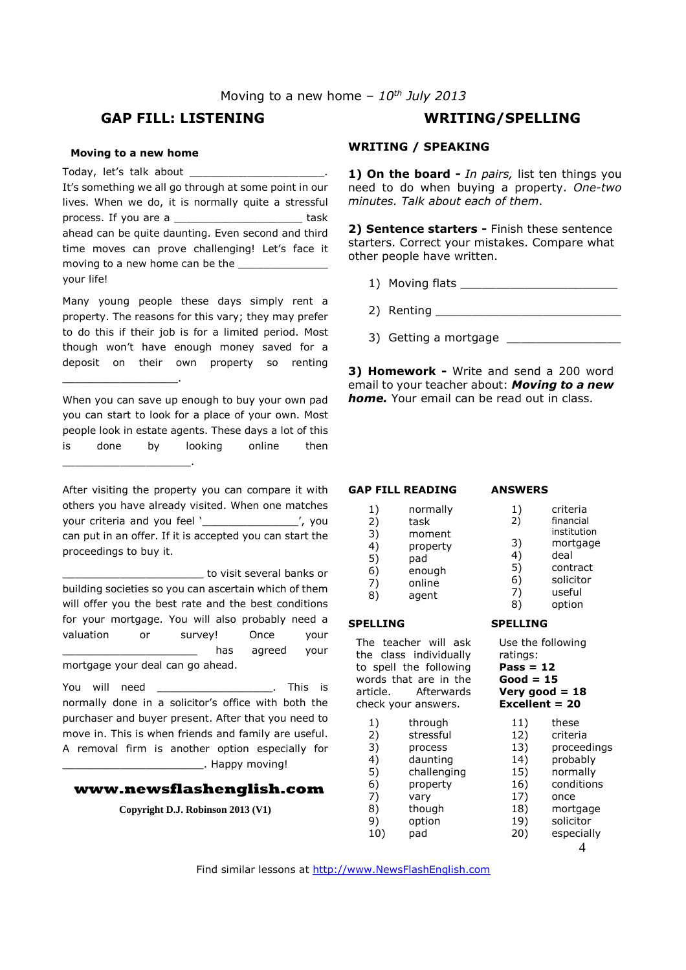#### **GAP FILL: LISTENING WRITING/SPELLING**

#### **Moving to a new home**

\_\_\_\_\_\_\_\_\_\_\_\_\_\_\_\_\_\_.

Today, let's talk about It's something we all go through at some point in our lives. When we do, it is normally quite a stressful process. If you are a \_\_\_\_\_\_\_\_\_\_\_\_\_\_\_\_\_\_\_\_ task ahead can be quite daunting. Even second and third time moves can prove challenging! Let's face it moving to a new home can be the your life!

Many young people these days simply rent a property. The reasons for this vary; they may prefer to do this if their job is for a limited period. Most though won't have enough money saved for a deposit on their own property so renting

When you can save up enough to buy your own pad you can start to look for a place of your own. Most people look in estate agents. These days a lot of this is done by looking online then \_\_\_\_\_\_\_\_\_\_\_\_\_\_\_\_\_\_\_\_.

After visiting the property you can compare it with others you have already visited. When one matches your criteria and you feel '\_\_\_\_\_\_\_\_\_\_\_\_\_\_\_\_\_', you can put in an offer. If it is accepted you can start the proceedings to buy it.

\_\_\_\_\_\_\_\_\_\_\_\_\_\_\_\_\_\_\_\_\_\_ to visit several banks or building societies so you can ascertain which of them will offer you the best rate and the best conditions for your mortgage. You will also probably need a valuation or survey! Once your has agreed your mortgage your deal can go ahead.

You will need \_\_\_\_\_\_\_\_\_\_\_\_\_\_\_\_\_\_. This is normally done in a solicitor's office with both the purchaser and buyer present. After that you need to move in. This is when friends and family are useful. A removal firm is another option especially for . Happy moving!

#### **www.newsflashenglish.com**

**Copyright D.J. Robinson 2013 (V1)** 

#### **WRITING / SPEAKING**

**1) On the board -** *In pairs,* list ten things you need to do when buying a property. *One-two minutes. Talk about each of them*.

**2) Sentence starters -** Finish these sentence starters. Correct your mistakes. Compare what other people have written.

- 1) Moving flats \_\_\_\_\_\_\_\_\_\_\_\_\_\_\_\_\_\_\_\_\_\_
- 2) Renting
- 3) Getting a mortgage \_\_\_\_\_\_

**3) Homework -** Write and send a 200 word email to your teacher about: *Moving to a new home.* Your email can be read out in class.

#### **GAP FILL READING**

**ANSWERS** 

- 1) normally<br>2) task 2) task 3) moment 4) property 5) pad 6) enough 7) online
- 8) agent

#### **SPELLING**

The teacher will ask the class individually to spell the following words that are in the article. Afterwards check your answers.

- 1) through 2) stressful 3) process
- 4) daunting
- 5) challenging
- 6) property 7) vary
- 8) though
- 9) option
- 10) pad
- 1) criteria<br>2) financial financial
	- institution
- 3) mortgage
- 4) deal
- 5) contract
- 6) solicitor
- 7) useful
- 8) option
- **SPELLING**

Use the following ratings: **Pass = 12** 

**Good = 15** 

# **Very good = 18**

- **Excellent = 20** 
	- 11) these
	- 12) criteria 13) proceedings
	- 14) probably
	- 15) normally
	- 16) conditions
	- 17) once
	- 18) mortgage
	- 19) solicitor
	- 20) especially

4

Find similar lessons at http://www.NewsFlashEnglish.com